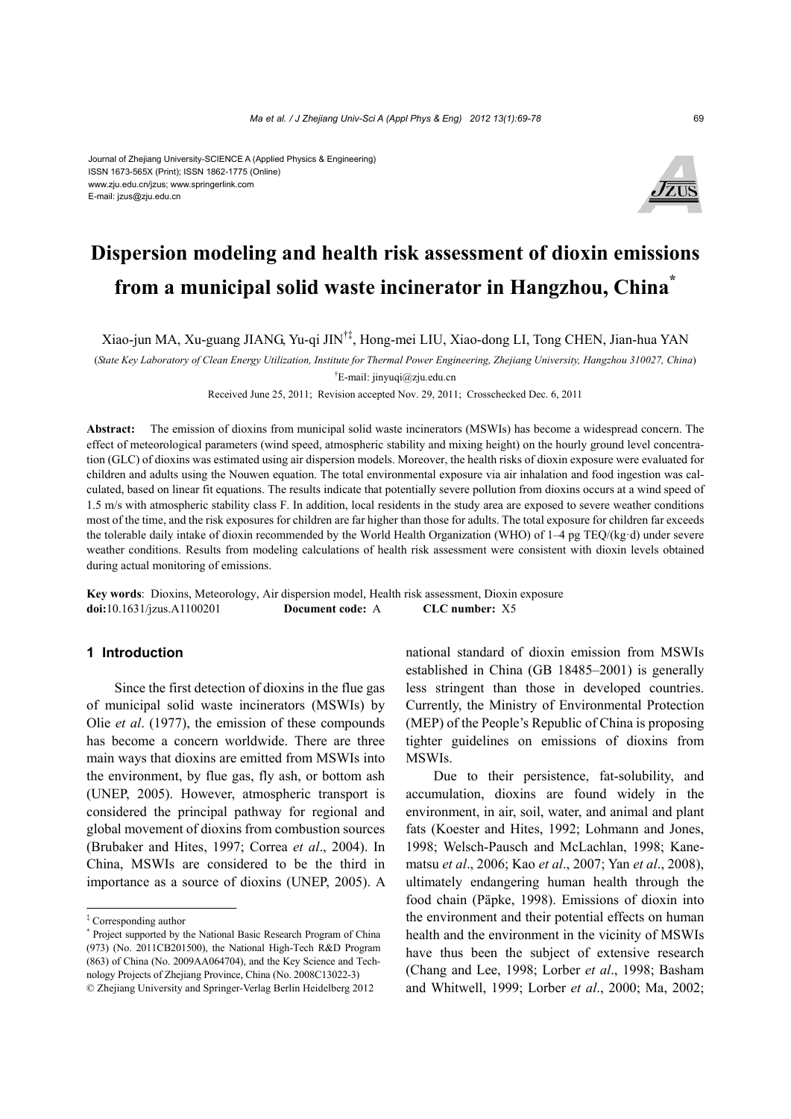#### Journal of Zhejiang University-SCIENCE A (Applied Physics & Engineering) ISSN 1673-565X (Print); ISSN 1862-1775 (Online) www.zju.edu.cn/jzus; www.springerlink.com E-mail: jzus@zju.edu.cn



# **Dispersion modeling and health risk assessment of dioxin emissions from a municipal solid waste incinerator in Hangzhou, China\***

Xiao-jun MA, Xu-guang JIANG, Yu-qi JIN†‡, Hong-mei LIU, Xiao-dong LI, Tong CHEN, Jian-hua YAN

(*State Key Laboratory of Clean Energy Utilization, Institute for Thermal Power Engineering, Zhejiang University, Hangzhou 310027, China*)

† E-mail: jinyuqi@zju.edu.cn

Received June 25, 2011; Revision accepted Nov. 29, 2011; Crosschecked Dec. 6, 2011

**Abstract:** The emission of dioxins from municipal solid waste incinerators (MSWIs) has become a widespread concern. The effect of meteorological parameters (wind speed, atmospheric stability and mixing height) on the hourly ground level concentration (GLC) of dioxins was estimated using air dispersion models. Moreover, the health risks of dioxin exposure were evaluated for children and adults using the Nouwen equation. The total environmental exposure via air inhalation and food ingestion was calculated, based on linear fit equations. The results indicate that potentially severe pollution from dioxins occurs at a wind speed of 1.5 m/s with atmospheric stability class F. In addition, local residents in the study area are exposed to severe weather conditions most of the time, and the risk exposures for children are far higher than those for adults. The total exposure for children far exceeds the tolerable daily intake of dioxin recommended by the World Health Organization (WHO) of 1–4 pg TEQ/(kg·d) under severe weather conditions. Results from modeling calculations of health risk assessment were consistent with dioxin levels obtained during actual monitoring of emissions.

**Key words**: Dioxins, Meteorology, Air dispersion model, Health risk assessment, Dioxin exposure **doi:**10.1631/jzus.A1100201 **Document code:** A **CLC number:** X5

## **1 Introduction**

Since the first detection of dioxins in the flue gas of municipal solid waste incinerators (MSWIs) by Olie *et al*. (1977), the emission of these compounds has become a concern worldwide. There are three main ways that dioxins are emitted from MSWIs into the environment, by flue gas, fly ash, or bottom ash (UNEP, 2005). However, atmospheric transport is considered the principal pathway for regional and global movement of dioxins from combustion sources (Brubaker and Hites, 1997; Correa *et al*., 2004). In China, MSWIs are considered to be the third in importance as a source of dioxins (UNEP, 2005). A national standard of dioxin emission from MSWIs established in China (GB 18485–2001) is generally less stringent than those in developed countries. Currently, the Ministry of Environmental Protection (MEP) of the People's Republic of China is proposing tighter guidelines on emissions of dioxins from MSWIs.

Due to their persistence, fat-solubility, and accumulation, dioxins are found widely in the environment, in air, soil, water, and animal and plant fats (Koester and Hites, 1992; Lohmann and Jones, 1998; Welsch-Pausch and McLachlan, 1998; Kanematsu *et al*., 2006; Kao *et al*., 2007; Yan *et al*., 2008), ultimately endangering human health through the food chain (Päpke, 1998). Emissions of dioxin into the environment and their potential effects on human health and the environment in the vicinity of MSWIs have thus been the subject of extensive research (Chang and Lee, 1998; Lorber *et al*., 1998; Basham and Whitwell, 1999; Lorber *et al*., 2000; Ma, 2002;

<sup>‡</sup> Corresponding author

<sup>\*</sup> Project supported by the National Basic Research Program of China (973) (No. 2011CB201500), the National High-Tech R&D Program (863) of China (No. 2009AA064704), and the Key Science and Technology Projects of Zhejiang Province, China (No. 2008C13022-3) © Zhejiang University and Springer-Verlag Berlin Heidelberg 2012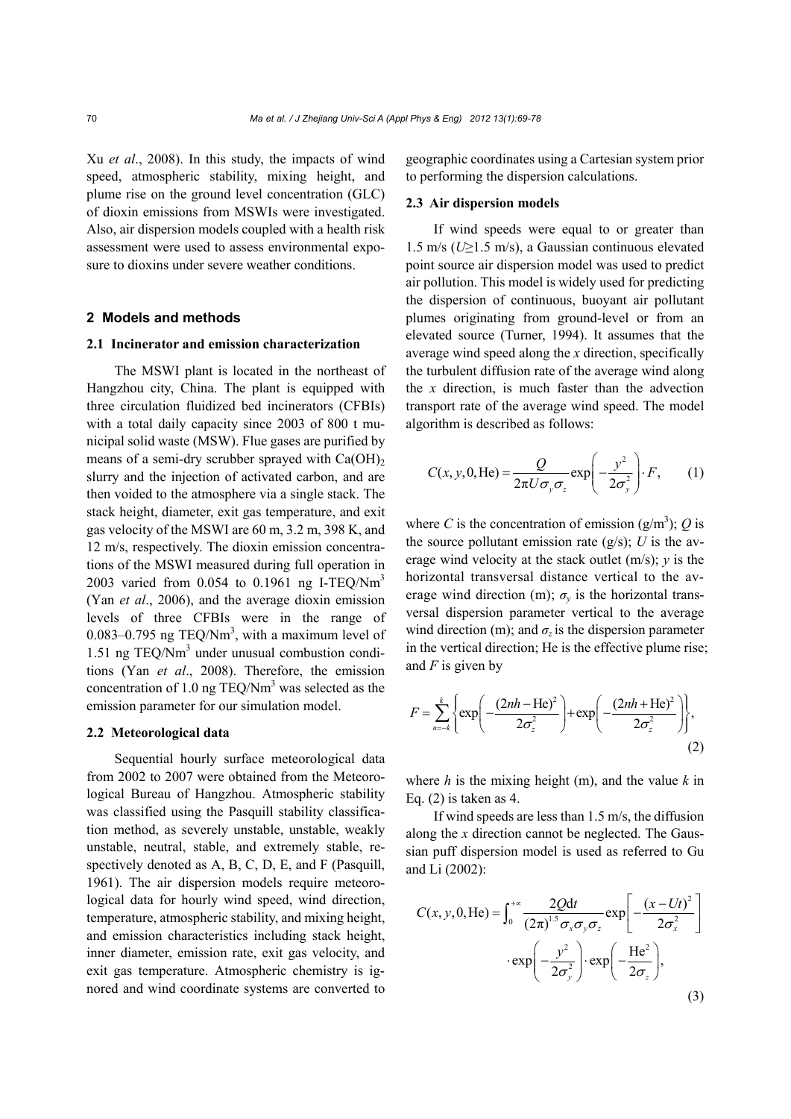Xu *et al*., 2008). In this study, the impacts of wind speed, atmospheric stability, mixing height, and plume rise on the ground level concentration (GLC) of dioxin emissions from MSWIs were investigated. Also, air dispersion models coupled with a health risk assessment were used to assess environmental exposure to dioxins under severe weather conditions.

### **2 Models and methods**

## **2.1 Incinerator and emission characterization**

The MSWI plant is located in the northeast of Hangzhou city, China. The plant is equipped with three circulation fluidized bed incinerators (CFBIs) with a total daily capacity since 2003 of 800 t municipal solid waste (MSW). Flue gases are purified by means of a semi-dry scrubber sprayed with  $Ca(OH)_{2}$ slurry and the injection of activated carbon, and are then voided to the atmosphere via a single stack. The stack height, diameter, exit gas temperature, and exit gas velocity of the MSWI are 60 m, 3.2 m, 398 K, and 12 m/s, respectively. The dioxin emission concentrations of the MSWI measured during full operation in 2003 varied from 0.054 to 0.1961 ng I-TEQ/Nm<sup>3</sup> (Yan *et al*., 2006), and the average dioxin emission levels of three CFBIs were in the range of 0.083–0.795 ng TEQ/Nm<sup>3</sup>, with a maximum level of 1.51 ng TEQ/Nm3 under unusual combustion conditions (Yan *et al*., 2008). Therefore, the emission concentration of 1.0 ng  $TEQ/Nm<sup>3</sup>$  was selected as the emission parameter for our simulation model.

## **2.2 Meteorological data**

Sequential hourly surface meteorological data from 2002 to 2007 were obtained from the Meteorological Bureau of Hangzhou. Atmospheric stability was classified using the Pasquill stability classification method, as severely unstable, unstable, weakly unstable, neutral, stable, and extremely stable, respectively denoted as A, B, C, D, E, and F (Pasquill, 1961). The air dispersion models require meteorological data for hourly wind speed, wind direction, temperature, atmospheric stability, and mixing height, and emission characteristics including stack height, inner diameter, emission rate, exit gas velocity, and exit gas temperature. Atmospheric chemistry is ignored and wind coordinate systems are converted to

geographic coordinates using a Cartesian system prior to performing the dispersion calculations.

#### **2.3 Air dispersion models**

If wind speeds were equal to or greater than 1.5 m/s (*U*≥1.5 m/s), a Gaussian continuous elevated point source air dispersion model was used to predict air pollution. This model is widely used for predicting the dispersion of continuous, buoyant air pollutant plumes originating from ground-level or from an elevated source (Turner, 1994). It assumes that the average wind speed along the *x* direction, specifically the turbulent diffusion rate of the average wind along the *x* direction, is much faster than the advection transport rate of the average wind speed. The model algorithm is described as follows:

$$
C(x, y, 0, \text{He}) = \frac{Q}{2\pi U \sigma_y \sigma_z} \exp\left(-\frac{y^2}{2\sigma_y^2}\right) \cdot F, \qquad (1)
$$

where *C* is the concentration of emission  $(g/m^3)$ ; *Q* is the source pollutant emission rate  $(g/s)$ ; *U* is the average wind velocity at the stack outlet (m/s); *y* is the horizontal transversal distance vertical to the average wind direction (m);  $\sigma_v$  is the horizontal transversal dispersion parameter vertical to the average wind direction (m); and  $\sigma$ <sup>z</sup> is the dispersion parameter in the vertical direction; He is the effective plume rise; and *F* is given by

$$
F = \sum_{n=-k}^{k} \left\{ \exp\left(-\frac{(2nh - \text{He})^2}{2\sigma_z^2}\right) + \exp\left(-\frac{(2nh + \text{He})^2}{2\sigma_z^2}\right) \right\},\tag{2}
$$

where  $h$  is the mixing height (m), and the value  $k$  in Eq. (2) is taken as 4.

If wind speeds are less than 1.5 m/s, the diffusion along the *x* direction cannot be neglected. The Gaussian puff dispersion model is used as referred to Gu and Li (2002):

$$
C(x, y, 0, He) = \int_0^{+\infty} \frac{2Qdt}{(2\pi)^{1.5} \sigma_x \sigma_y \sigma_z} \exp\left[-\frac{(x - Ut)^2}{2\sigma_x^2}\right]
$$

$$
\cdot \exp\left(-\frac{y^2}{2\sigma_y^2}\right) \cdot \exp\left(-\frac{He^2}{2\sigma_z}\right),\tag{3}
$$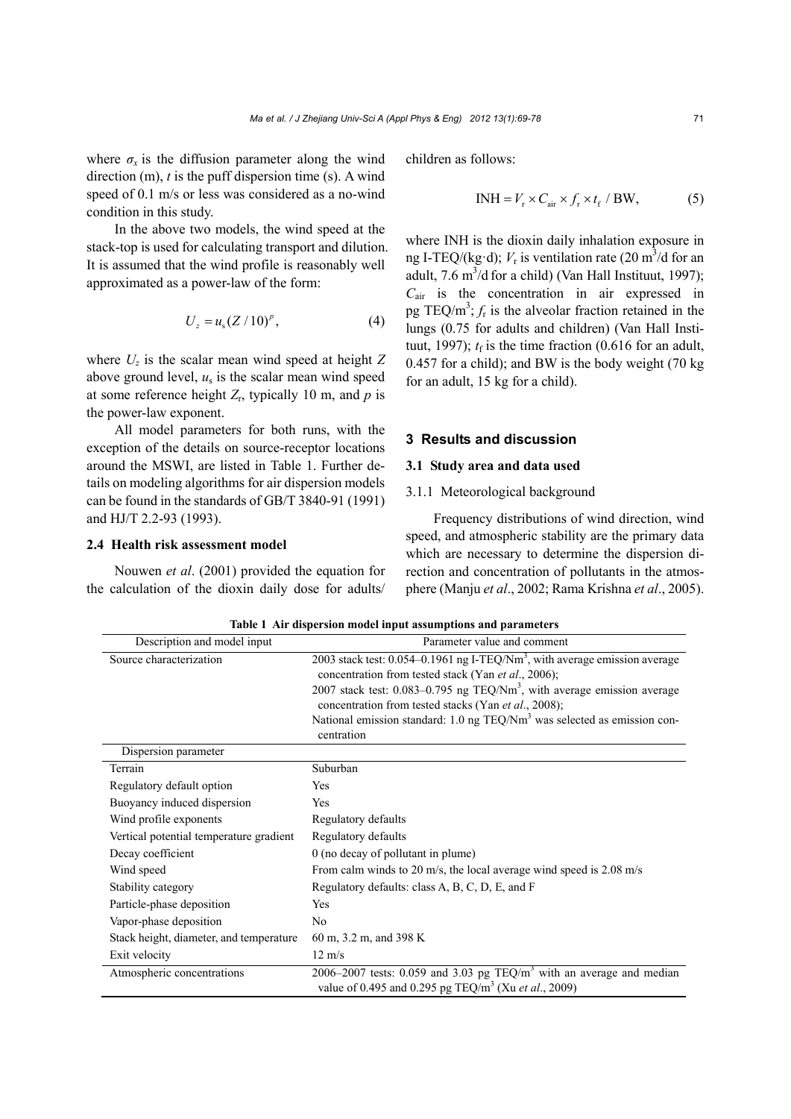where  $\sigma_x$  is the diffusion parameter along the wind direction (m), *t* is the puff dispersion time (s). A wind speed of 0.1 m/s or less was considered as a no-wind condition in this study.

In the above two models, the wind speed at the stack-top is used for calculating transport and dilution. It is assumed that the wind profile is reasonably well approximated as a power-law of the form:

$$
U_z = u_s (Z/10)^p, \t\t(4)
$$

where  $U_z$  is the scalar mean wind speed at height  $Z$ above ground level,  $u_s$  is the scalar mean wind speed at some reference height  $Z_r$ , typically 10 m, and  $p$  is the power-law exponent.

All model parameters for both runs, with the exception of the details on source-receptor locations around the MSWI, are listed in Table 1. Further details on modeling algorithms for air dispersion models can be found in the standards of GB/T 3840-91 (1991) and HJ/T 2.2-93 (1993).

## **2.4 Health risk assessment model**

Nouwen *et al*. (2001) provided the equation for the calculation of the dioxin daily dose for adults/ children as follows:

$$
INH = V_r \times C_{air} \times f_r \times t_f / BW,
$$
 (5)

where INH is the dioxin daily inhalation exposure in ng I-TEQ/(kg·d);  $V_r$  is ventilation rate (20 m<sup>3</sup>/d for an adult, 7.6 m<sup>3</sup>/d for a child) (Van Hall Instituut, 1997); *C*air is the concentration in air expressed in pg TEQ/ $m^3$ ;  $f_r$  is the alveolar fraction retained in the lungs (0.75 for adults and children) (Van Hall Instituut, 1997);  $t_f$  is the time fraction (0.616 for an adult, 0.457 for a child); and BW is the body weight (70 kg for an adult, 15 kg for a child).

#### **3 Results and discussion**

### **3.1 Study area and data used**

#### 3.1.1 Meteorological background

Frequency distributions of wind direction, wind speed, and atmospheric stability are the primary data which are necessary to determine the dispersion direction and concentration of pollutants in the atmosphere (Manju *et al*., 2002; Rama Krishna *et al*., 2005).

| Description and model input             | Parameter value and comment                                                                                                                        |
|-----------------------------------------|----------------------------------------------------------------------------------------------------------------------------------------------------|
| Source characterization                 | 2003 stack test: $0.054 - 0.1961$ ng I-TEQ/Nm <sup>3</sup> , with average emission average<br>concentration from tested stack (Yan et al., 2006);  |
|                                         | 2007 stack test: $0.083 - 0.795$ ng TEQ/Nm <sup>3</sup> , with average emission average<br>concentration from tested stacks (Yan et al., 2008);    |
|                                         | National emission standard: 1.0 ng TEQ/Nm <sup>3</sup> was selected as emission con-<br>centration                                                 |
| Dispersion parameter                    |                                                                                                                                                    |
| Terrain                                 | Suburban                                                                                                                                           |
| Regulatory default option               | Yes                                                                                                                                                |
| Buoyancy induced dispersion             | Yes                                                                                                                                                |
| Wind profile exponents                  | Regulatory defaults                                                                                                                                |
| Vertical potential temperature gradient | Regulatory defaults                                                                                                                                |
| Decay coefficient                       | 0 (no decay of pollutant in plume)                                                                                                                 |
| Wind speed                              | From calm winds to 20 m/s, the local average wind speed is 2.08 m/s                                                                                |
| Stability category                      | Regulatory defaults: class A, B, C, D, E, and F                                                                                                    |
| Particle-phase deposition               | Yes                                                                                                                                                |
| Vapor-phase deposition                  | N <sub>0</sub>                                                                                                                                     |
| Stack height, diameter, and temperature | 60 m, 3.2 m, and 398 K                                                                                                                             |
| Exit velocity                           | $12 \text{ m/s}$                                                                                                                                   |
| Atmospheric concentrations              | 2006–2007 tests: 0.059 and 3.03 pg $TEQ/m3$ with an average and median<br>value of 0.495 and 0.295 pg TEQ/m <sup>3</sup> (Xu <i>et al.</i> , 2009) |

**Table 1 Air dispersion model input assumptions and parameters**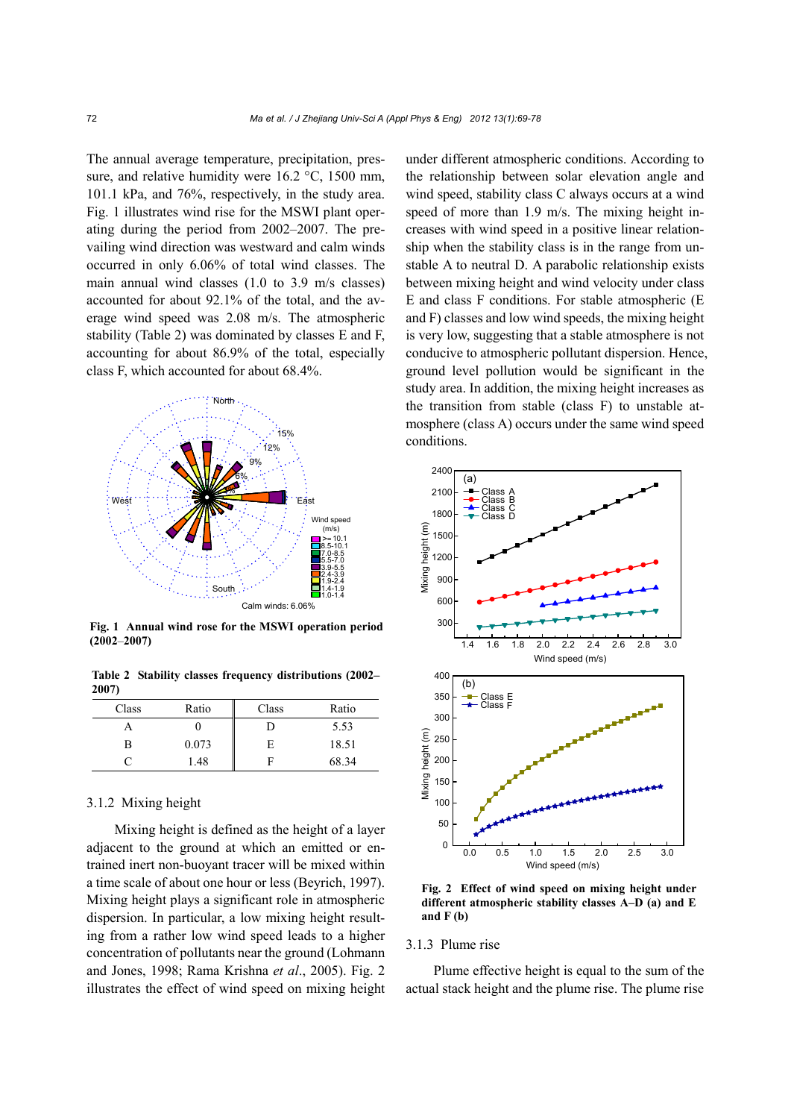The annual average temperature, precipitation, pressure, and relative humidity were 16.2 °C, 1500 mm, 101.1 kPa, and 76%, respectively, in the study area. Fig. 1 illustrates wind rise for the MSWI plant operating during the period from 2002–2007. The prevailing wind direction was westward and calm winds occurred in only 6.06% of total wind classes. The main annual wind classes (1.0 to 3.9 m/s classes) accounted for about 92.1% of the total, and the average wind speed was 2.08 m/s. The atmospheric stability (Table 2) was dominated by classes E and F, accounting for about 86.9% of the total, especially class F, which accounted for about 68.4%.



**Fig. 1 Annual wind rose for the MSWI operation period (2002**–**2007)**

**Table 2 Stability classes frequency distributions (2002– 2007)** 

| Class | Ratio | Class | Ratio |
|-------|-------|-------|-------|
|       |       | D     | 5.53  |
| в     | 0.073 | E     | 18.51 |
|       | 1.48  |       | 68.34 |

## 3.1.2 Mixing height

Mixing height is defined as the height of a layer adjacent to the ground at which an emitted or entrained inert non-buoyant tracer will be mixed within a time scale of about one hour or less (Beyrich, 1997). Mixing height plays a significant role in atmospheric dispersion. In particular, a low mixing height resulting from a rather low wind speed leads to a higher concentration of pollutants near the ground (Lohmann and Jones, 1998; Rama Krishna *et al*., 2005). Fig. 2 illustrates the effect of wind speed on mixing height under different atmospheric conditions. According to the relationship between solar elevation angle and wind speed, stability class C always occurs at a wind speed of more than 1.9 m/s. The mixing height increases with wind speed in a positive linear relationship when the stability class is in the range from unstable A to neutral D. A parabolic relationship exists between mixing height and wind velocity under class E and class F conditions. For stable atmospheric (E and F) classes and low wind speeds, the mixing height is very low, suggesting that a stable atmosphere is not conducive to atmospheric pollutant dispersion. Hence, ground level pollution would be significant in the study area. In addition, the mixing height increases as the transition from stable (class F) to unstable atmosphere (class A) occurs under the same wind speed conditions.



**Fig. 2 Effect of wind speed on mixing height under different atmospheric stability classes A–D (a) and E and F (b)** 

## 3.1.3 Plume rise

Plume effective height is equal to the sum of the actual stack height and the plume rise. The plume rise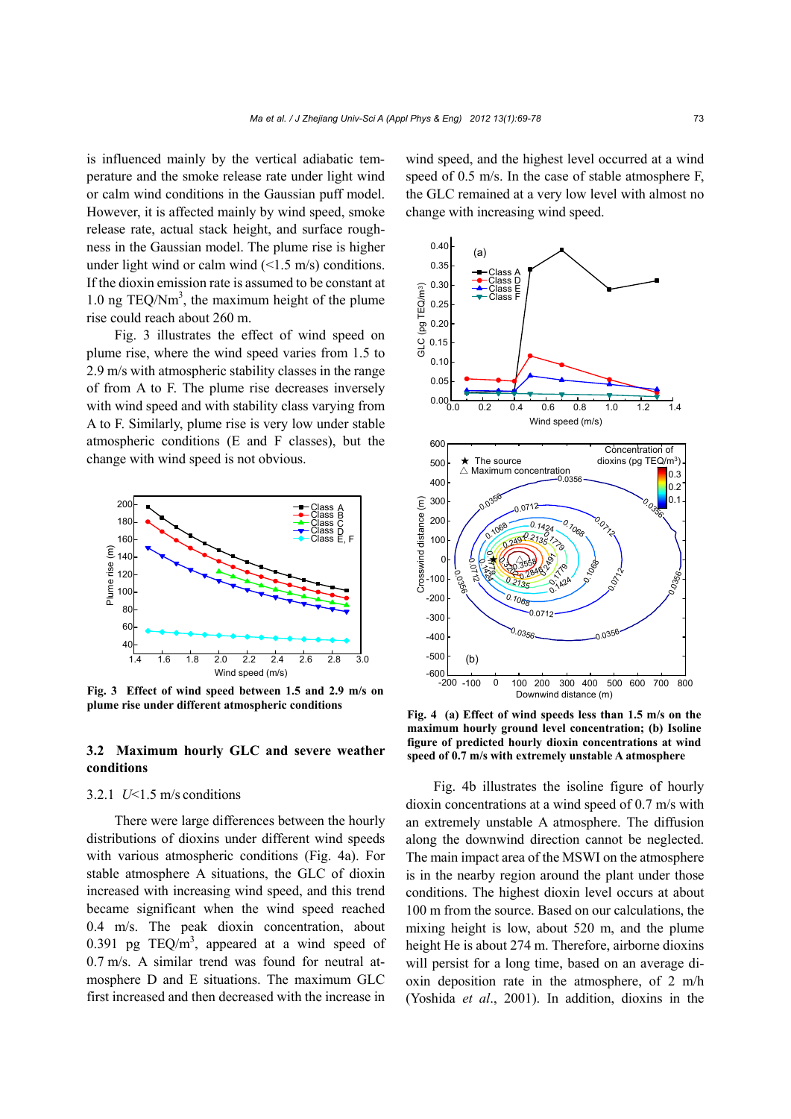is influenced mainly by the vertical adiabatic temperature and the smoke release rate under light wind or calm wind conditions in the Gaussian puff model. However, it is affected mainly by wind speed, smoke release rate, actual stack height, and surface roughness in the Gaussian model. The plume rise is higher under light wind or calm wind  $(\leq 1.5 \text{ m/s})$  conditions. If the dioxin emission rate is assumed to be constant at 1.0 ng TEQ/Nm<sup>3</sup>, the maximum height of the plume rise could reach about 260 m.

Fig. 3 illustrates the effect of wind speed on plume rise, where the wind speed varies from 1.5 to 2.9 m/s with atmospheric stability classes in the range of from A to F. The plume rise decreases inversely with wind speed and with stability class varying from A to F. Similarly, plume rise is very low under stable atmospheric conditions (E and F classes), but the change with wind speed is not obvious.



**Fig. 3 Effect of wind speed between 1.5 and 2.9 m/s on plume rise under different atmospheric conditions** 

## **3.2 Maximum hourly GLC and severe weather conditions**

## 3.2.1 *U*<1.5 m/s conditions

There were large differences between the hourly distributions of dioxins under different wind speeds with various atmospheric conditions (Fig. 4a). For stable atmosphere A situations, the GLC of dioxin increased with increasing wind speed, and this trend became significant when the wind speed reached 0.4 m/s. The peak dioxin concentration, about 0.391 pg TEQ/ $m<sup>3</sup>$ , appeared at a wind speed of 0.7 m/s. A similar trend was found for neutral atmosphere D and E situations. The maximum GLC first increased and then decreased with the increase in

wind speed, and the highest level occurred at a wind speed of 0.5 m/s. In the case of stable atmosphere F, the GLC remained at a very low level with almost no change with increasing wind speed.



**Fig. 4 (a) Effect of wind speeds less than 1.5 m/s on the maximum hourly ground level concentration; (b) Isoline figure of predicted hourly dioxin concentrations at wind speed of 0.7 m/s with extremely unstable A atmosphere** 

Fig. 4b illustrates the isoline figure of hourly dioxin concentrations at a wind speed of 0.7 m/s with an extremely unstable A atmosphere. The diffusion along the downwind direction cannot be neglected. The main impact area of the MSWI on the atmosphere is in the nearby region around the plant under those conditions. The highest dioxin level occurs at about 100 m from the source. Based on our calculations, the mixing height is low, about 520 m, and the plume height He is about 274 m. Therefore, airborne dioxins will persist for a long time, based on an average dioxin deposition rate in the atmosphere, of 2 m/h (Yoshida *et al*., 2001). In addition, dioxins in the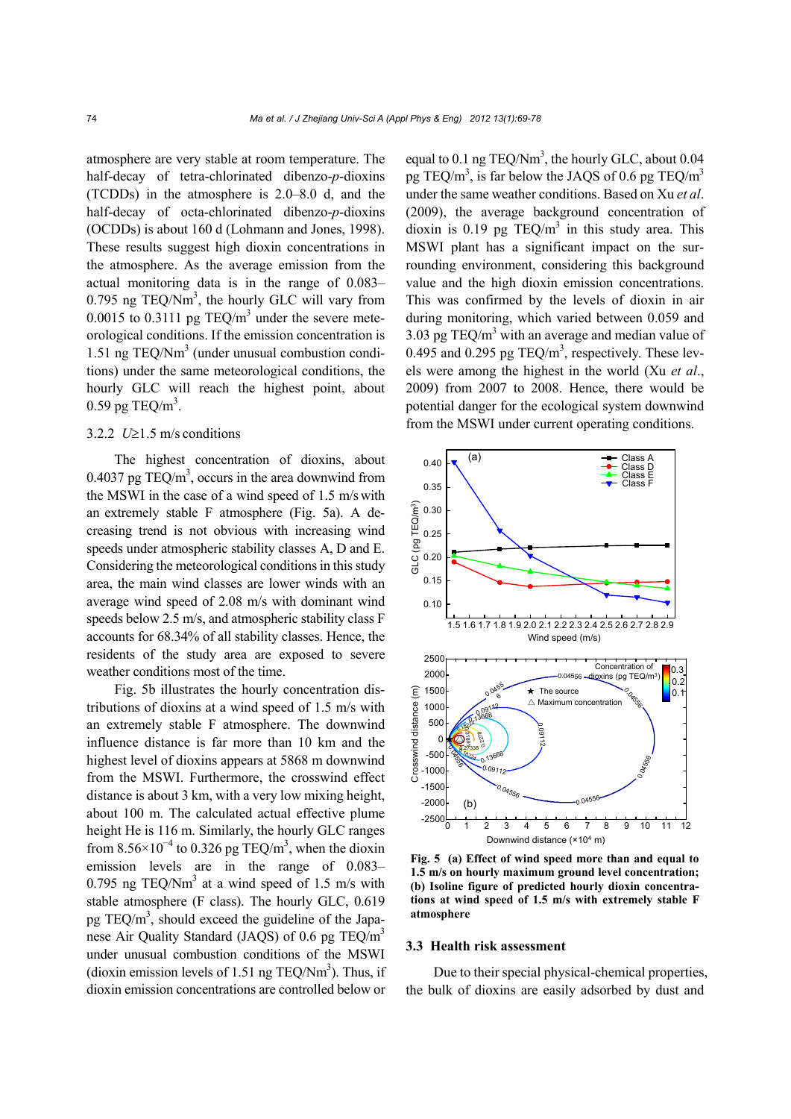atmosphere are very stable at room temperature. The half-decay of tetra-chlorinated dibenzo-*p*-dioxins (TCDDs) in the atmosphere is 2.0–8.0 d, and the half-decay of octa-chlorinated dibenzo-*p*-dioxins (OCDDs) is about 160 d (Lohmann and Jones, 1998). These results suggest high dioxin concentrations in the atmosphere. As the average emission from the actual monitoring data is in the range of 0.083– 0.795 ng TEQ/Nm<sup>3</sup>, the hourly GLC will vary from 0.0015 to 0.3111 pg TEQ/ $m<sup>3</sup>$  under the severe meteorological conditions. If the emission concentration is 1.51 ng TEQ/Nm<sup>3</sup> (under unusual combustion conditions) under the same meteorological conditions, the hourly GLC will reach the highest point, about  $0.59$  pg TEQ/m<sup>3</sup>.

## 3.2.2  $U\geq 1.5$  m/s conditions

The highest concentration of dioxins, about 0.4037 pg TEQ/ $m<sup>3</sup>$ , occurs in the area downwind from the MSWI in the case of a wind speed of 1.5 m/swith an extremely stable F atmosphere (Fig. 5a). A decreasing trend is not obvious with increasing wind speeds under atmospheric stability classes A, D and E. Considering the meteorological conditions in this study area, the main wind classes are lower winds with an average wind speed of 2.08 m/s with dominant wind speeds below 2.5 m/s, and atmospheric stability class F accounts for 68.34% of all stability classes. Hence, the residents of the study area are exposed to severe weather conditions most of the time.

Fig. 5b illustrates the hourly concentration distributions of dioxins at a wind speed of 1.5 m/s with an extremely stable F atmosphere. The downwind influence distance is far more than 10 km and the highest level of dioxins appears at 5868 m downwind from the MSWI. Furthermore, the crosswind effect distance is about 3 km, with a very low mixing height, about 100 m. The calculated actual effective plume height He is 116 m. Similarly, the hourly GLC ranges from  $8.56 \times 10^{-4}$  to 0.326 pg TEQ/m<sup>3</sup>, when the dioxin emission levels are in the range of 0.083– 0.795 ng TEQ/Nm<sup>3</sup> at a wind speed of 1.5 m/s with stable atmosphere (F class). The hourly GLC, 0.619 pg TEQ/ $m<sup>3</sup>$ , should exceed the guideline of the Japanese Air Quality Standard (JAQS) of 0.6 pg TEQ/m<sup>3</sup> under unusual combustion conditions of the MSWI (dioxin emission levels of 1.51 ng TEQ/Nm<sup>3</sup>). Thus, if dioxin emission concentrations are controlled below or

equal to  $0.1$  ng TEQ/Nm<sup>3</sup>, the hourly GLC, about  $0.04$ pg TEQ/m<sup>3</sup>, is far below the JAQS of 0.6 pg TEQ/m<sup>3</sup> under the same weather conditions. Based on Xu *et al*. (2009), the average background concentration of dioxin is 0.19 pg  $TEQ/m^3$  in this study area. This MSWI plant has a significant impact on the surrounding environment, considering this background value and the high dioxin emission concentrations. This was confirmed by the levels of dioxin in air during monitoring, which varied between 0.059 and 3.03 pg TEQ/ $m<sup>3</sup>$  with an average and median value of 0.495 and 0.295 pg  $TEQ/m<sup>3</sup>$ , respectively. These levels were among the highest in the world (Xu *et al*., 2009) from 2007 to 2008. Hence, there would be potential danger for the ecological system downwind from the MSWI under current operating conditions.



**Fig. 5 (a) Effect of wind speed more than and equal to 1.5 m/s on hourly maximum ground level concentration; (b) Isoline figure of predicted hourly dioxin concentrations at wind speed of 1.5 m/s with extremely stable F atmosphere** 

#### **3.3 Health risk assessment**

Due to their special physical-chemical properties, the bulk of dioxins are easily adsorbed by dust and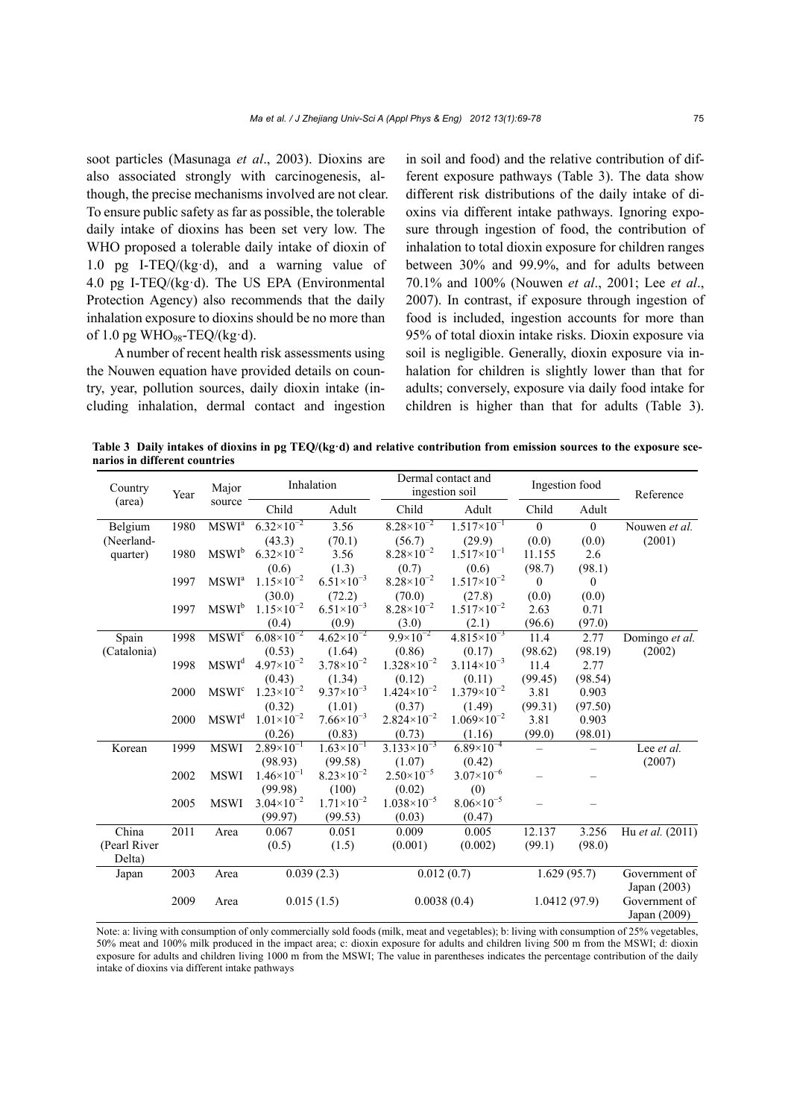soot particles (Masunaga *et al*., 2003). Dioxins are also associated strongly with carcinogenesis, although, the precise mechanisms involved are not clear. To ensure public safety as far as possible, the tolerable daily intake of dioxins has been set very low. The WHO proposed a tolerable daily intake of dioxin of 1.0 pg I-TEQ/(kg·d), and a warning value of 4.0 pg I-TEQ/(kg·d). The US EPA (Environmental Protection Agency) also recommends that the daily inhalation exposure to dioxins should be no more than of 1.0 pg WHO<sub>98</sub>-TEQ/(kg·d).

A number of recent health risk assessments using the Nouwen equation have provided details on country, year, pollution sources, daily dioxin intake (including inhalation, dermal contact and ingestion in soil and food) and the relative contribution of different exposure pathways (Table 3). The data show different risk distributions of the daily intake of dioxins via different intake pathways. Ignoring exposure through ingestion of food, the contribution of inhalation to total dioxin exposure for children ranges between 30% and 99.9%, and for adults between 70.1% and 100% (Nouwen *et al*., 2001; Lee *et al*., 2007). In contrast, if exposure through ingestion of food is included, ingestion accounts for more than 95% of total dioxin intake risks. Dioxin exposure via soil is negligible. Generally, dioxin exposure via inhalation for children is slightly lower than that for adults; conversely, exposure via daily food intake for children is higher than that for adults (Table 3).

**Table 3 Daily intakes of dioxins in pg TEQ/(kg·d) and relative contribution from emission sources to the exposure scenarios in different countries** 

| Country<br>Year |      | Major                    | Inhalation               |                       | Dermal contact and<br>ingestion soil |                        | Ingestion food |                               | Reference                     |
|-----------------|------|--------------------------|--------------------------|-----------------------|--------------------------------------|------------------------|----------------|-------------------------------|-------------------------------|
| (area)          |      | source                   | Child                    | Adult                 | Child                                | Adult                  | Child          | Adult                         |                               |
| Belgium         | 1980 | MSWI <sup>a</sup>        | $6.32\times10^{-2}$      | 3.56                  | $8.28 \times 10^{-2}$                | $1.517 \times 10^{-1}$ | $\mathbf{0}$   | $\mathbf{0}$                  | Nouwen et al.                 |
| (Neerland-      |      |                          | (43.3)                   | (70.1)                | (56.7)                               | (29.9)                 | (0.0)          | (0.0)                         | (2001)                        |
| quarter)        | 1980 | $MSWI^b$                 | $6.32\times10^{-2}$      | 3.56                  | $8.28 \times 10^{-2}$                | $1.517\times10^{-1}$   | 11.155         | 2.6                           |                               |
|                 |      |                          | (0.6)                    | (1.3)                 | (0.7)                                | (0.6)                  | (98.7)         | (98.1)                        |                               |
|                 | 1997 | MSWI <sup>a</sup>        | $1.15\times10^{-2}$      | $6.51\times10^{-3}$   | $8.28 \times 10^{-2}$                | $1.517\times10^{-2}$   | 0              | $\theta$                      |                               |
|                 |      |                          | (30.0)                   | (72.2)                | (70.0)                               | (27.8)                 | (0.0)          | (0.0)                         |                               |
|                 | 1997 | $MSWI^b$                 | $1.15 \times 10^{-2}$    | $6.51\times10^{-3}$   | $8.28 \times 10^{-2}$                | $1.517\times10^{-2}$   | 2.63           | 0.71                          |                               |
|                 |      |                          | (0.4)                    | (0.9)                 | (3.0)                                | (2.1)                  | (96.6)         | (97.0)                        |                               |
| Spain           | 1998 | <b>MSWI</b> <sup>c</sup> | $6.08\times10^{-2}$      | $4.62 \times 10^{-2}$ | $9.9\times10^{-2}$                   | $4.815\times10^{-3}$   | 11.4           | 2.77                          | Domingo et al.                |
| (Catalonia)     |      |                          | (0.53)                   | (1.64)                | (0.86)                               | (0.17)                 | (98.62)        | (98.19)                       | (2002)                        |
|                 | 1998 | MSWI <sup>d</sup>        | $4.97 \times 10^{-2}$    | $3.78 \times 10^{-2}$ | $1.328 \times 10^{-2}$               | $3.114\times10^{-3}$   | 11.4           | 2.77                          |                               |
|                 |      |                          | (0.43)                   | (1.34)                | (0.12)                               | (0.11)                 | (99.45)        | (98.54)                       |                               |
|                 | 2000 | <b>MSWI</b> <sup>c</sup> | $1.23 \times 10^{-2}$    | $9.37\times10^{-3}$   | $1.424 \times 10^{-2}$               | $1.379\times10^{-2}$   | 3.81           | 0.903                         |                               |
|                 |      |                          | (0.32)                   | (1.01)                | (0.37)                               | (1.49)                 | (99.31)        | (97.50)                       |                               |
|                 | 2000 | $\text{MSWI}^\text{d}$   | $1.01 \times 10^{-2}$    | $7.66 \times 10^{-3}$ | $2.824 \times 10^{-2}$               | $1.069\times10^{-2}$   | 3.81           | 0.903                         |                               |
|                 |      |                          | (0.26)                   | (0.83)                | (0.73)                               | (1.16)                 | (99.0)         | (98.01)                       |                               |
| Korean          | 1999 | <b>MSWI</b>              | $2.89\times10^{-1}$      | $1.63\times10^{-1}$   | $3.133\times10^{-3}$                 | $6.89\times10^{-4}$    | -              |                               | Lee et al.                    |
|                 |      |                          | (98.93)                  | (99.58)               | (1.07)                               | (0.42)                 |                |                               | (2007)                        |
|                 | 2002 | <b>MSWI</b>              | $1.46 \times 10^{-1}$    | $8.23 \times 10^{-2}$ | $2.50\times10^{-5}$                  | $3.07\times10^{-6}$    |                |                               |                               |
|                 |      |                          | (99.98)                  | (100)                 | (0.02)                               | (0)                    |                |                               |                               |
|                 | 2005 | <b>MSWI</b>              | $3.04 \times 10^{-2}$    | $1.71 \times 10^{-2}$ | $1.038\times10^{-5}$                 | $8.06 \times 10^{-5}$  |                |                               |                               |
|                 |      |                          | (99.97)                  | (99.53)               | (0.03)                               | (0.47)                 |                |                               |                               |
| China           | 2011 | Area                     | 0.067                    | 0.051                 | 0.009                                | 0.005                  | 12.137         | 3.256                         | Hu et al. (2011)              |
| (Pearl River    |      |                          | (0.5)                    | (1.5)                 | (0.001)                              | (0.002)                | (99.1)         | (98.0)                        |                               |
| Delta)          |      |                          |                          |                       |                                      |                        |                |                               |                               |
| Japan           | 2003 | Area                     | $\overline{0.039}$ (2.3) |                       | 0.012(0.7)                           |                        | 1.629(95.7)    |                               | Government of<br>Japan (2003) |
|                 | 2009 | Area                     |                          | 0.015(1.5)            | 1.0412(97.9)<br>0.0038(0.4)          |                        |                | Government of<br>Japan (2009) |                               |

Note: a: living with consumption of only commercially sold foods (milk, meat and vegetables); b: living with consumption of 25% vegetables, 50% meat and 100% milk produced in the impact area; c: dioxin exposure for adults and children living 500 m from the MSWI; d: dioxin exposure for adults and children living 1000 m from the MSWI; The value in parentheses indicates the percentage contribution of the daily intake of dioxins via different intake pathways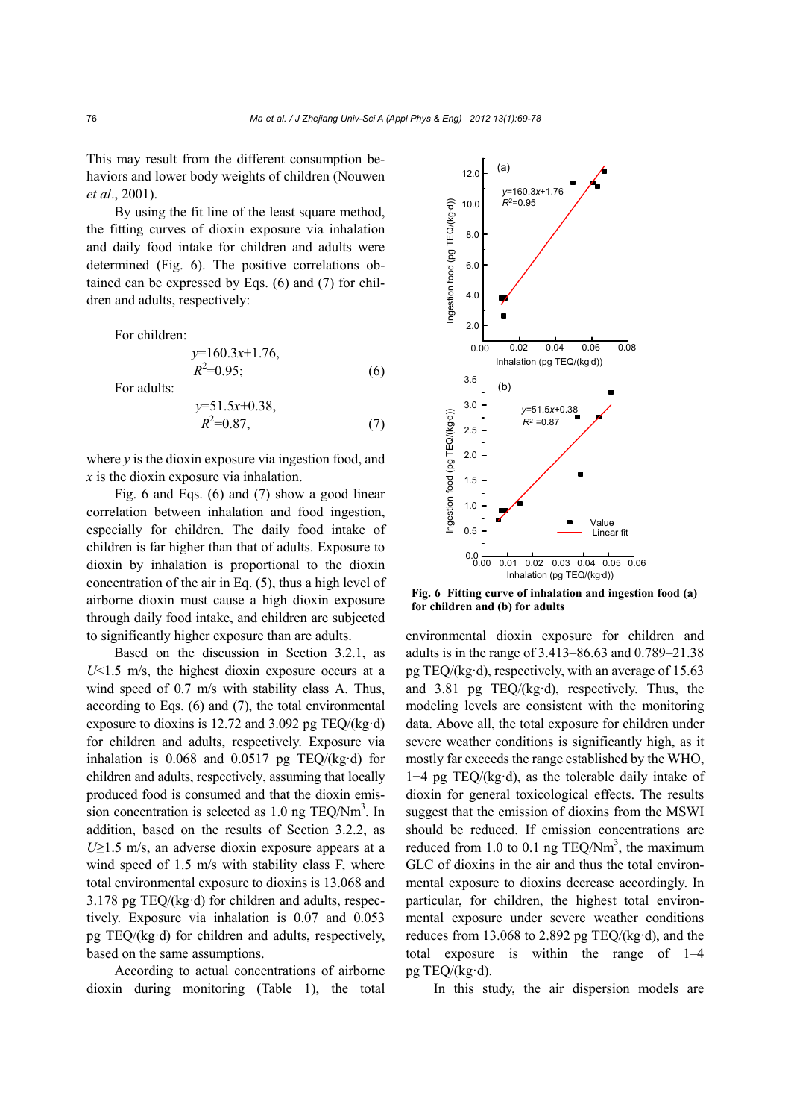This may result from the different consumption behaviors and lower body weights of children (Nouwen *et al*., 2001).

By using the fit line of the least square method, the fitting curves of dioxin exposure via inhalation and daily food intake for children and adults were determined (Fig. 6). The positive correlations obtained can be expressed by Eqs. (6) and (7) for children and adults, respectively:

*y*=160.3*x*+1.76,

For children:

For adults:

$$
y=51.5x+0.38,\nR2=0.87,
$$
\n(7)

 $R^2 = 0.95;$  (6)

where *v* is the dioxin exposure via ingestion food, and *x* is the dioxin exposure via inhalation.

Fig. 6 and Eqs. (6) and (7) show a good linear correlation between inhalation and food ingestion, especially for children. The daily food intake of children is far higher than that of adults. Exposure to dioxin by inhalation is proportional to the dioxin concentration of the air in Eq. (5), thus a high level of airborne dioxin must cause a high dioxin exposure through daily food intake, and children are subjected to significantly higher exposure than are adults.

Based on the discussion in Section 3.2.1, as *U*<1.5 m/s, the highest dioxin exposure occurs at a wind speed of 0.7 m/s with stability class A. Thus, according to Eqs. (6) and (7), the total environmental exposure to dioxins is 12.72 and 3.092 pg TEQ/(kg·d) for children and adults, respectively. Exposure via inhalation is  $0.068$  and  $0.0517$  pg TEQ/(kg·d) for children and adults, respectively, assuming that locally produced food is consumed and that the dioxin emission concentration is selected as  $1.0$  ng TEQ/Nm<sup>3</sup>. In addition, based on the results of Section 3.2.2, as *U*≥1.5 m/s, an adverse dioxin exposure appears at a wind speed of 1.5 m/s with stability class F, where total environmental exposure to dioxins is 13.068 and 3.178 pg TEQ/(kg·d) for children and adults, respectively. Exposure via inhalation is 0.07 and 0.053 pg TEQ/(kg·d) for children and adults, respectively, based on the same assumptions.

According to actual concentrations of airborne dioxin during monitoring (Table 1), the total



**Fig. 6 Fitting curve of inhalation and ingestion food (a) for children and (b) for adults** 

environmental dioxin exposure for children and adults is in the range of 3.413–86.63 and 0.789–21.38 pg TEQ/(kg·d), respectively, with an average of 15.63 and 3.81 pg TEQ/(kg·d), respectively. Thus, the modeling levels are consistent with the monitoring data. Above all, the total exposure for children under severe weather conditions is significantly high, as it mostly far exceeds the range established by the WHO, 1−4 pg TEQ/(kg·d), as the tolerable daily intake of dioxin for general toxicological effects. The results suggest that the emission of dioxins from the MSWI should be reduced. If emission concentrations are reduced from 1.0 to 0.1 ng TEQ/Nm<sup>3</sup>, the maximum GLC of dioxins in the air and thus the total environmental exposure to dioxins decrease accordingly. In particular, for children, the highest total environmental exposure under severe weather conditions reduces from 13.068 to 2.892 pg TEQ/(kg·d), and the total exposure is within the range of 1–4 pg TEQ/(kg·d).

In this study, the air dispersion models are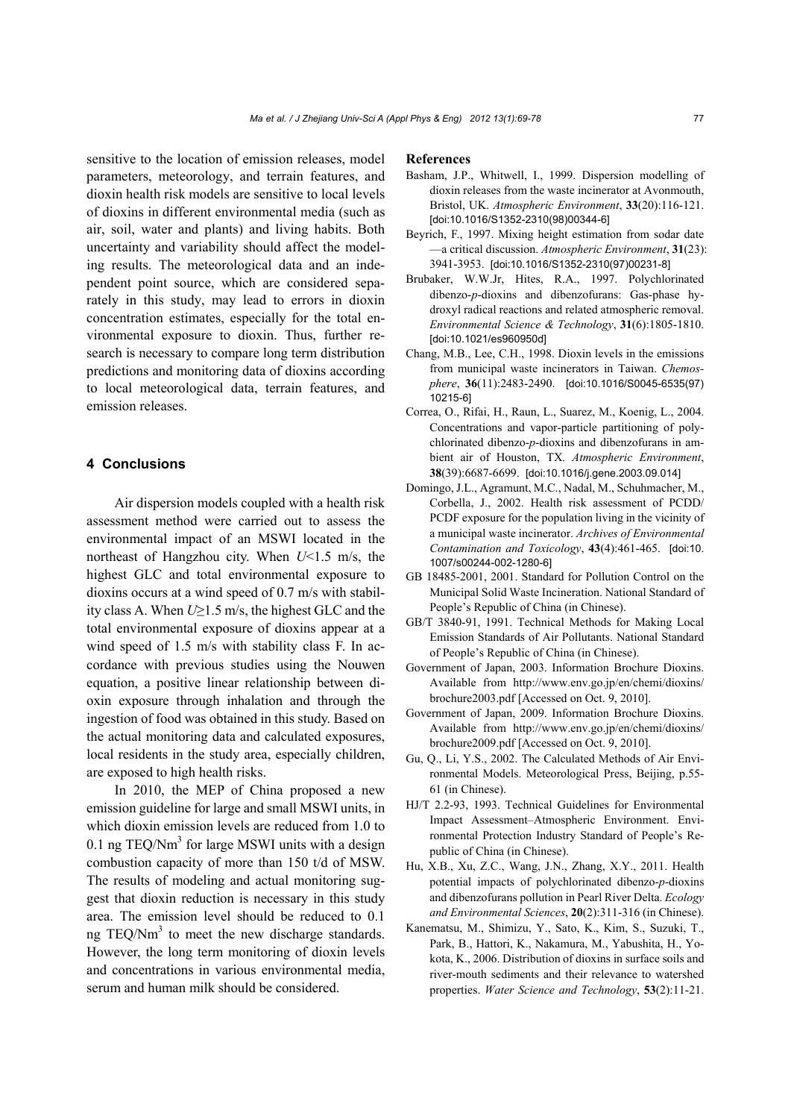sensitive to the location of emission releases, model parameters, meteorology, and terrain features, and dioxin health risk models are sensitive to local levels of dioxins in different environmental media (such as air, soil, water and plants) and living habits. Both uncertainty and variability should affect the modeling results. The meteorological data and an independent point source, which are considered separately in this study, may lead to errors in dioxin concentration estimates, especially for the total environmental exposure to dioxin. Thus, further research is necessary to compare long term distribution predictions and monitoring data of dioxins according to local meteorological data, terrain features, and emission releases.

## **4 Conclusions**

Air dispersion models coupled with a health risk assessment method were carried out to assess the environmental impact of an MSWI located in the northeast of Hangzhou city. When *U*<1.5 m/s, the highest GLC and total environmental exposure to dioxins occurs at a wind speed of 0.7 m/s with stability class A. When *U*≥1.5 m/s, the highest GLC and the total environmental exposure of dioxins appear at a wind speed of 1.5 m/s with stability class F. In accordance with previous studies using the Nouwen equation, a positive linear relationship between dioxin exposure through inhalation and through the ingestion of food was obtained in this study. Based on the actual monitoring data and calculated exposures, local residents in the study area, especially children, are exposed to high health risks.

In 2010, the MEP of China proposed a new emission guideline for large and small MSWI units, in which dioxin emission levels are reduced from 1.0 to 0.1 ng TEQ/ $Nm^3$  for large MSWI units with a design combustion capacity of more than 150 t/d of MSW. The results of modeling and actual monitoring suggest that dioxin reduction is necessary in this study area. The emission level should be reduced to 0.1 ng TEQ/Nm<sup>3</sup> to meet the new discharge standards. However, the long term monitoring of dioxin levels and concentrations in various environmental media, serum and human milk should be considered.

#### **References**

- Basham, J.P., Whitwell, I., 1999. Dispersion modelling of dioxin releases from the waste incinerator at Avonmouth, Bristol, UK. *Atmospheric Environment*, **33**(20):116-121. [doi:10.1016/S1352-2310(98)00344-6]
- Beyrich, F., 1997. Mixing height estimation from sodar date —a critical discussion. *Atmospheric Environment*, **31**(23): 3941-3953. [doi:10.1016/S1352-2310(97)00231-8]
- Brubaker, W.W.Jr, Hites, R.A., 1997. Polychlorinated dibenzo-*p*-dioxins and dibenzofurans: Gas-phase hydroxyl radical reactions and related atmospheric removal. *Environmental Science & Technology*, **31**(6):1805-1810. [doi:10.1021/es960950d]
- Chang, M.B., Lee, C.H., 1998. Dioxin levels in the emissions from municipal waste incinerators in Taiwan. *Chemosphere*, **36**(11):2483-2490. [doi:10.1016/S0045-6535(97) 10215-6]
- Correa, O., Rifai, H., Raun, L., Suarez, M., Koenig, L., 2004. Concentrations and vapor-particle partitioning of polychlorinated dibenzo-*p*-dioxins and dibenzofurans in ambient air of Houston, TX. *Atmospheric Environment*, **38**(39):6687-6699. [doi:10.1016/j.gene.2003.09.014]
- Domingo, J.L., Agramunt, M.C., Nadal, M., Schuhmacher, M., Corbella, J., 2002. Health risk assessment of PCDD/ PCDF exposure for the population living in the vicinity of a municipal waste incinerator. *Archives of Environmental Contamination and Toxicology*, **43**(4):461-465. [doi:10. 1007/s00244-002-1280-6]
- GB 18485-2001, 2001. Standard for Pollution Control on the Municipal Solid Waste Incineration. National Standard of People's Republic of China (in Chinese).
- GB/T 3840-91, 1991. Technical Methods for Making Local Emission Standards of Air Pollutants. National Standard of People's Republic of China (in Chinese).
- Government of Japan, 2003. Information Brochure Dioxins. Available from http://www.env.go.jp/en/chemi/dioxins/ brochure2003.pdf [Accessed on Oct. 9, 2010].
- Government of Japan, 2009. Information Brochure Dioxins. Available from http://www.env.go.jp/en/chemi/dioxins/ brochure2009.pdf [Accessed on Oct. 9, 2010].
- Gu, Q., Li, Y.S., 2002. The Calculated Methods of Air Environmental Models. Meteorological Press, Beijing, p.55- 61 (in Chinese).
- HJ/T 2.2-93, 1993. Technical Guidelines for Environmental Impact Assessment–Atmospheric Environment. Environmental Protection Industry Standard of People's Republic of China (in Chinese).
- Hu, X.B., Xu, Z.C., Wang, J.N., Zhang, X.Y., 2011. Health potential impacts of polychlorinated dibenzo-*p*-dioxins and dibenzofurans pollution in Pearl River Delta. *Ecology and Environmental Sciences*, **20**(2):311-316 (in Chinese).
- Kanematsu, M., Shimizu, Y., Sato, K., Kim, S., Suzuki, T., Park, B., Hattori, K., Nakamura, M., Yabushita, H., Yokota, K., 2006. Distribution of dioxins in surface soils and river-mouth sediments and their relevance to watershed properties. *Water Science and Technology*, **53**(2):11-21.